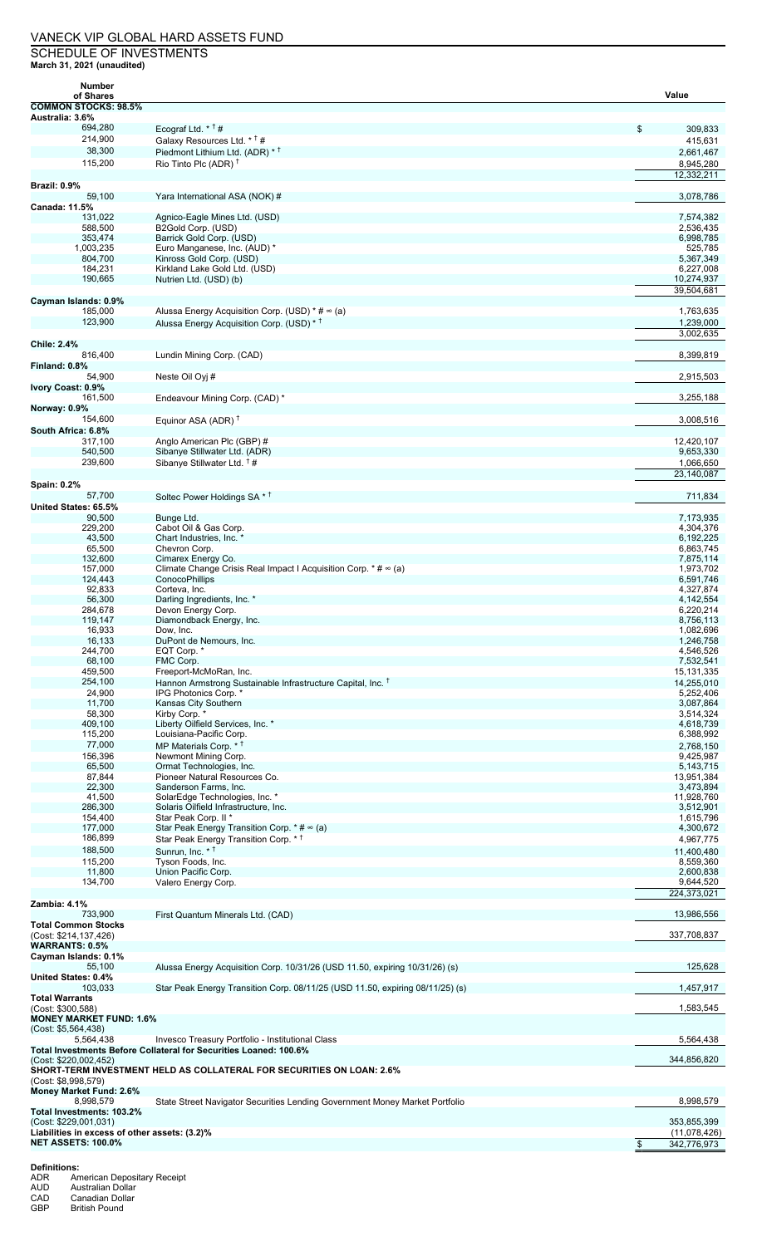## VANECK VIP GLOBAL HARD ASSETS FUND SCHEDULE OF INVESTMENTS

**March 31, 2021 (unaudited) Number**

| <b>INDITION</b><br>of Shares                        |                                                                               | Value                  |
|-----------------------------------------------------|-------------------------------------------------------------------------------|------------------------|
| <b>COMMON STOCKS: 98.5%</b>                         |                                                                               |                        |
| Australia: 3.6%                                     |                                                                               |                        |
| 694,280                                             | Ecograf Ltd. $*$ <sup>†</sup> #                                               | \$<br>309,833          |
| 214,900                                             | Galaxy Resources Ltd. * <sup>†</sup> #                                        | 415,631                |
| 38,300                                              | Piedmont Lithium Ltd. (ADR) * <sup>†</sup>                                    | 2,661,467              |
| 115,200                                             | Rio Tinto Plc (ADR) $†$                                                       | 8,945,280              |
|                                                     |                                                                               | 12,332,211             |
| Brazil: 0.9%                                        |                                                                               |                        |
| 59,100                                              | Yara International ASA (NOK) #                                                | 3,078,786              |
| Canada: 11.5%                                       |                                                                               |                        |
| 131,022                                             | Agnico-Eagle Mines Ltd. (USD)                                                 | 7,574,382              |
| 588,500<br>353,474                                  | B2Gold Corp. (USD)<br>Barrick Gold Corp. (USD)                                | 2,536,435<br>6,998,785 |
| 1,003,235                                           | Euro Manganese, Inc. (AUD) *                                                  | 525,785                |
| 804,700                                             | Kinross Gold Corp. (USD)                                                      | 5,367,349              |
| 184,231                                             | Kirkland Lake Gold Ltd. (USD)                                                 | 6,227,008              |
| 190,665                                             | Nutrien Ltd. (USD) (b)                                                        | 10,274,937             |
|                                                     |                                                                               | 39,504,681             |
| Cayman Islands: 0.9%                                |                                                                               |                        |
| 185,000                                             | Alussa Energy Acquisition Corp. (USD) $*$ # $\infty$ (a)                      | 1,763,635              |
| 123,900                                             | Alussa Energy Acquisition Corp. (USD) * <sup>†</sup>                          | 1,239,000              |
|                                                     |                                                                               | 3,002,635              |
| <b>Chile: 2.4%</b>                                  |                                                                               |                        |
| 816,400                                             | Lundin Mining Corp. (CAD)                                                     | 8,399,819              |
| Finland: 0.8%                                       |                                                                               |                        |
| 54,900                                              | Neste Oil Oyj #                                                               | 2,915,503              |
| Ivory Coast: 0.9%<br>161,500                        | Endeavour Mining Corp. (CAD) *                                                | 3,255,188              |
| Norway: 0.9%                                        |                                                                               |                        |
| 154,600                                             | Equinor ASA (ADR) $T$                                                         | 3,008,516              |
| South Africa: 6.8%                                  |                                                                               |                        |
| 317,100                                             | Anglo American Plc (GBP) #                                                    | 12.420.107             |
| 540,500                                             | Sibanye Stillwater Ltd. (ADR)                                                 | 9,653,330              |
| 239,600                                             | Sibanye Stillwater Ltd. <sup>†</sup> #                                        | 1,066,650              |
|                                                     |                                                                               | 23,140,087             |
| <b>Spain: 0.2%</b>                                  |                                                                               |                        |
| 57,700                                              | Soltec Power Holdings SA * <sup>+</sup>                                       | 711,834                |
| United States: 65.5%                                |                                                                               |                        |
| 90,500                                              | Bunge Ltd.                                                                    | 7,173,935              |
| 229,200                                             | Cabot Oil & Gas Corp.                                                         | 4,304,376              |
| 43,500                                              | Chart Industries, Inc. *                                                      | 6,192,225              |
| 65,500                                              | Chevron Corp.                                                                 | 6,863,745              |
| 132,600                                             | Cimarex Energy Co.                                                            | 7,875,114              |
| 157,000                                             | Climate Change Crisis Real Impact I Acquisition Corp. * # ∞ (a)               | 1,973,702              |
| 124,443                                             | <b>ConocoPhillips</b>                                                         | 6,591,746              |
| 92,833                                              | Corteva, Inc.                                                                 | 4,327,874              |
| 56,300                                              | Darling Ingredients, Inc. *                                                   | 4,142,554              |
| 284,678                                             | Devon Energy Corp.                                                            | 6,220,214              |
| 119,147                                             | Diamondback Energy, Inc.<br>Dow. Inc.                                         | 8,756,113              |
| 16,933<br>16,133                                    | DuPont de Nemours, Inc.                                                       | 1,082,696<br>1,246,758 |
| 244,700                                             | EQT Corp. *                                                                   | 4,546,526              |
| 68,100                                              | FMC Corp.                                                                     | 7,532,541              |
| 459,500                                             | Freeport-McMoRan, Inc.                                                        | 15, 131, 335           |
| 254,100                                             | Hannon Armstrong Sustainable Infrastructure Capital, Inc. T                   | 14,255,010             |
| 24,900                                              | IPG Photonics Corp. *                                                         | 5,252,406              |
| 11,700                                              | Kansas City Southern                                                          | 3,087,864              |
| 58,300                                              | Kirby Corp. *                                                                 | 3,514,324              |
| 409,100                                             | Liberty Oilfield Services, Inc. *                                             | 4,618,739              |
| 115,200                                             | Louisiana-Pacific Corp.                                                       | 6,388,992              |
| 77,000                                              | MP Materials Corp. * <sup>†</sup>                                             | 2,768,150              |
| 156,396                                             | Newmont Mining Corp.                                                          | 9,425,987              |
| 65,500                                              | Ormat Technologies, Inc.                                                      | 5, 143, 715            |
| 87,844                                              | Pioneer Natural Resources Co.                                                 | 13,951,384             |
| 22,300                                              | Sanderson Farms, Inc.                                                         | 3,473,894              |
| 41,500                                              | SolarEdge Technologies, Inc. *                                                | 11,928,760             |
| 286,300<br>154,400                                  | Solaris Oilfield Infrastructure, Inc.<br>Star Peak Corp. II *                 | 3,512,901<br>1,615,796 |
| 177,000                                             | Star Peak Energy Transition Corp. $*$ # $\infty$ (a)                          | 4,300,672              |
| 186,899                                             | Star Peak Energy Transition Corp. * <sup>†</sup>                              | 4,967,775              |
| 188,500                                             | Sunrun. Inc. * <sup>†</sup>                                                   | 11,400,480             |
| 115,200                                             | Tyson Foods, Inc.                                                             | 8,559,360              |
| 11,800                                              | Union Pacific Corp.                                                           | 2,600,838              |
| 134,700                                             | Valero Energy Corp.                                                           | 9,644,520              |
|                                                     |                                                                               | 224,373,021            |
| <b>Zambia: 4.1%</b>                                 |                                                                               |                        |
| 733,900                                             | First Quantum Minerals Ltd. (CAD)                                             | 13,986,556             |
| <b>Total Common Stocks</b>                          |                                                                               |                        |
| (Cost: \$214,137,426)                               |                                                                               | 337,708,837            |
| <b>WARRANTS: 0.5%</b>                               |                                                                               |                        |
| Cayman Islands: 0.1%                                |                                                                               |                        |
| 55,100                                              | Alussa Energy Acquisition Corp. 10/31/26 (USD 11.50, expiring 10/31/26) (s)   | 125,628                |
| <b>United States: 0.4%</b>                          |                                                                               |                        |
| 103,033                                             | Star Peak Energy Transition Corp. 08/11/25 (USD 11.50, expiring 08/11/25) (s) | 1,457,917              |
| <b>Total Warrants</b>                               |                                                                               |                        |
| (Cost: \$300,588)<br><b>MONEY MARKET FUND: 1.6%</b> |                                                                               | 1,583,545              |
| (Cost: \$5,564,438)                                 |                                                                               |                        |
| 5,564,438                                           | Invesco Treasury Portfolio - Institutional Class                              | 5,564,438              |
|                                                     | Total Investments Before Collateral for Securities Loaned: 100.6%             |                        |
| (Cost: \$220,002,452)                               |                                                                               | 344,856,820            |
|                                                     | SHORT-TERM INVESTMENT HELD AS COLLATERAL FOR SECURITIES ON LOAN: 2.6%         |                        |
| (Cost: \$8,998,579)                                 |                                                                               |                        |
| Money Market Fund: 2.6%                             |                                                                               |                        |
| 8,998,579                                           | State Street Navigator Securities Lending Government Money Market Portfolio   | 8,998,579              |
| Total Investments: 103.2%                           |                                                                               |                        |
| (Cost: \$229,001,031)                               |                                                                               | 353,855,399            |
| Liabilities in excess of other assets: (3.2)%       |                                                                               | (11,078,426)           |
| <b>NET ASSETS: 100.0%</b>                           |                                                                               | 342,776,973<br>\$      |
|                                                     |                                                                               |                        |

**Definitions:**

ADR American Depositary Receipt AUD Australian Dollar

CAD Canadian Dollar GBP British Pound